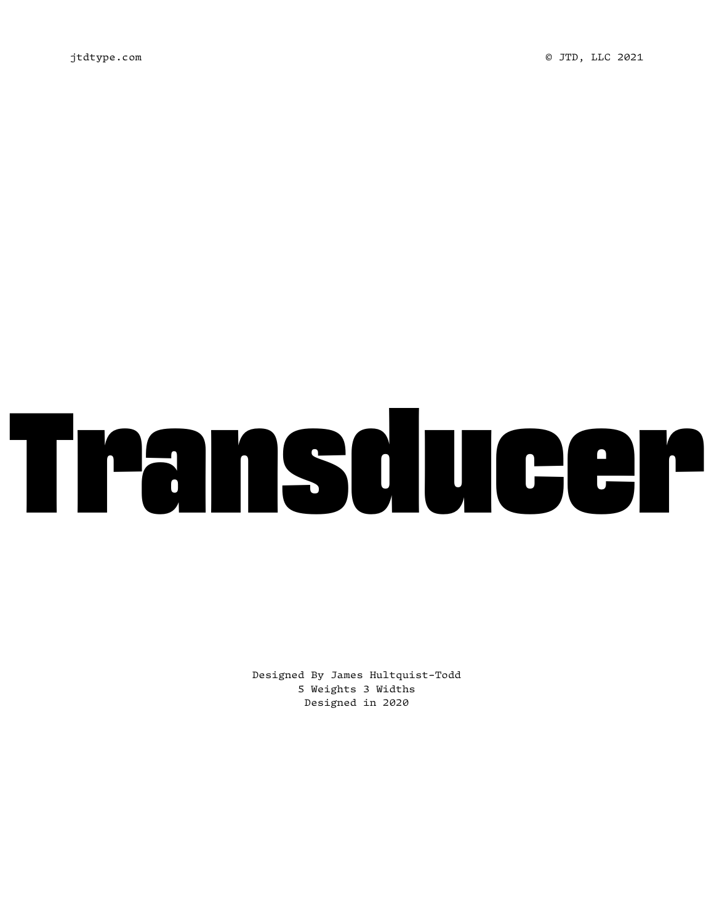# Transducer

Designed By James Hultquist-Todd 5 Weights 3 Widths Designed in 2020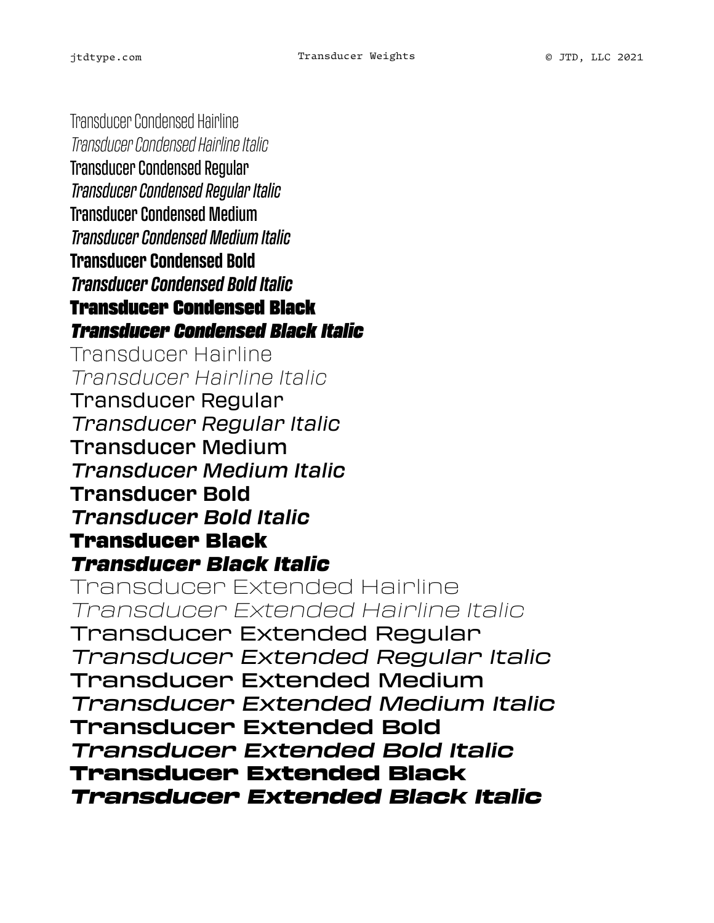Transducer Condensed Hairline *Transducer Condensed Hairline Italic* Transducer Condensed Regular *Transducer Condensed Regular Italic* Transducer Condensed Medium *Transducer Condensed Medium Italic* **Transducer Condensed Bold** *Transducer Condensed Bold Italic* Transducer Condensed Black *Transducer Condensed Black Italic* Transducer Hairline *Transducer Hairline Italic* Transducer Regular *Transducer Regular Italic* Transducer Medium *Transducer Medium Italic* **Transducer Bold** *Transducer Bold Italic* Transducer Black *Transducer Black Italic* Transducer Extended Hairline *Transducer Extended Hairline Italic* Transducer Extended Regular *Transducer Extended Regular Italic* Transducer Extended Medium *Transducer Extended Medium Italic* **Transducer Extended Bold** *Transducer Extended Bold Italic* Transducer Extended Black *Transducer Extended Black Italic*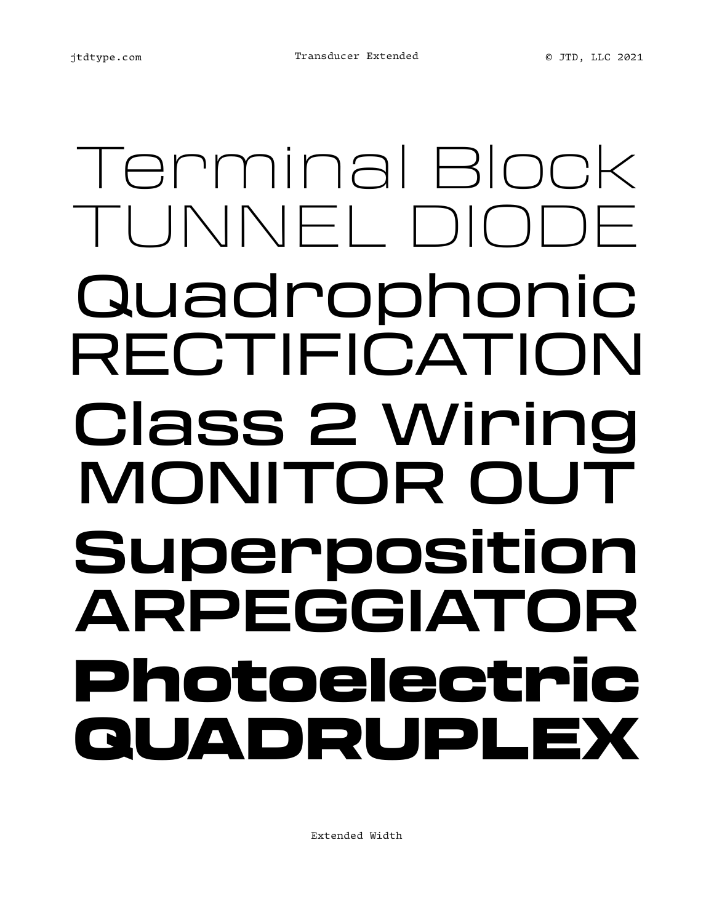### Terminal Block TUNNEL DIO Quadrophonic RECTIFICATION Class 2 Wiring MONITOR OUT **Superposition ARPEGGIATOR** Photoelectric QUADRUPLEX

Extended Width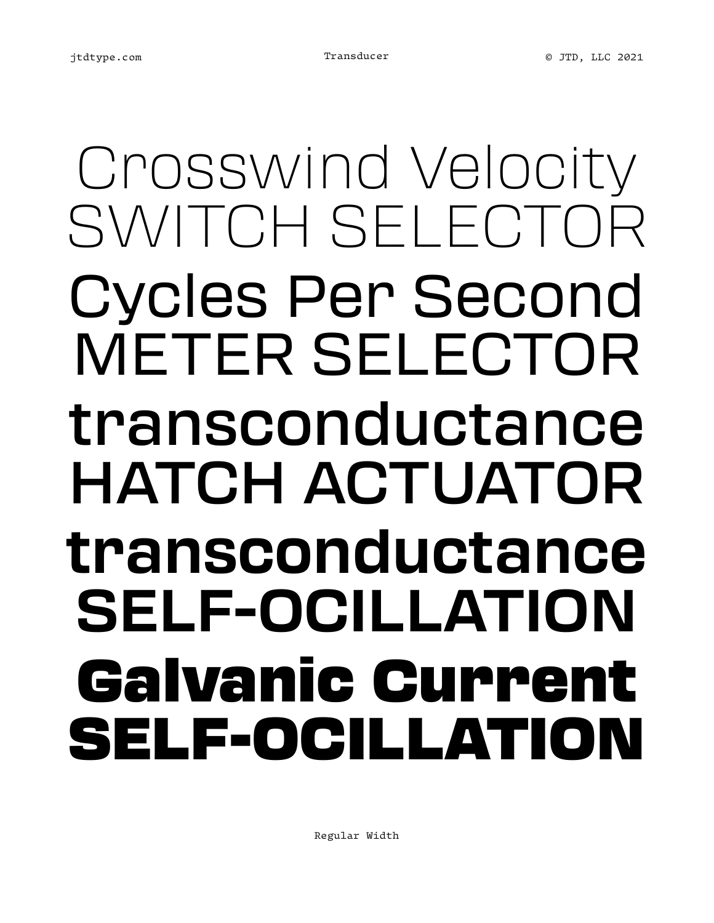### Crosswind Velocity SWITCH SELECTOR Cycles Per Second METER SELECTOR transconductance HATCH ACTUATOR **transconductance SELF-OCILLATION** Galvanic Current SELF-OCILLATIOI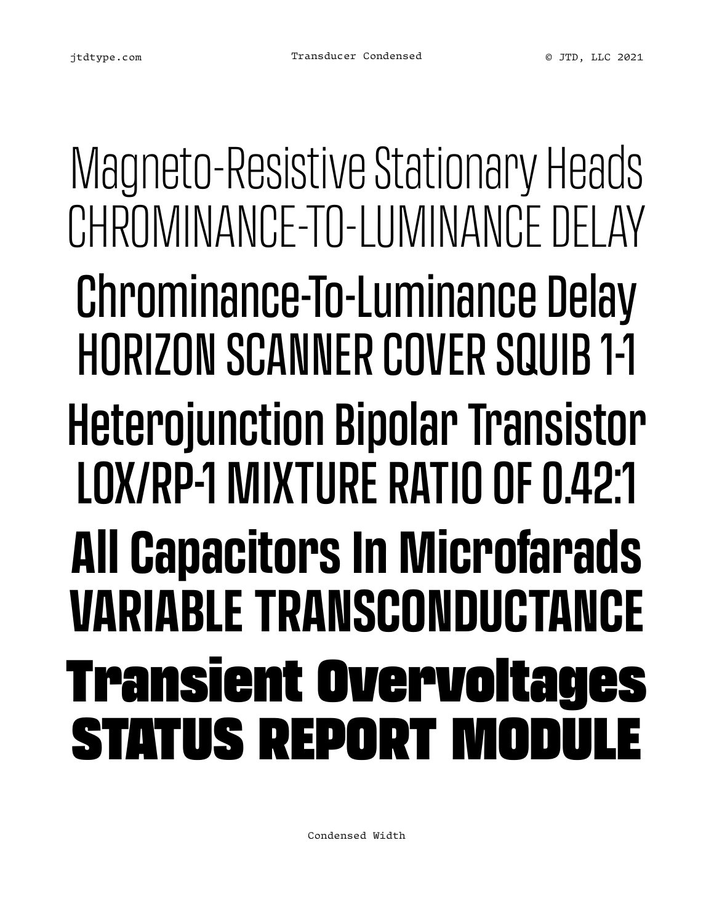Magneto-Resistive Stationary Heads CHROMINANCE-TO-LUMINANCE DELAY Chrominance-To-Luminance Delay HORIZON SCANNER COVER SQUIB 1-1 Heterojunction Bipolar Transistor LOX/RP-1 MIXTURE RATIO OF 0.42:1 **All Capacitors In Microfarads VARIABLE TRANSCONDUCTANCE** Transient Overvoltages **STATUS REPORT MOD** 

Condensed Width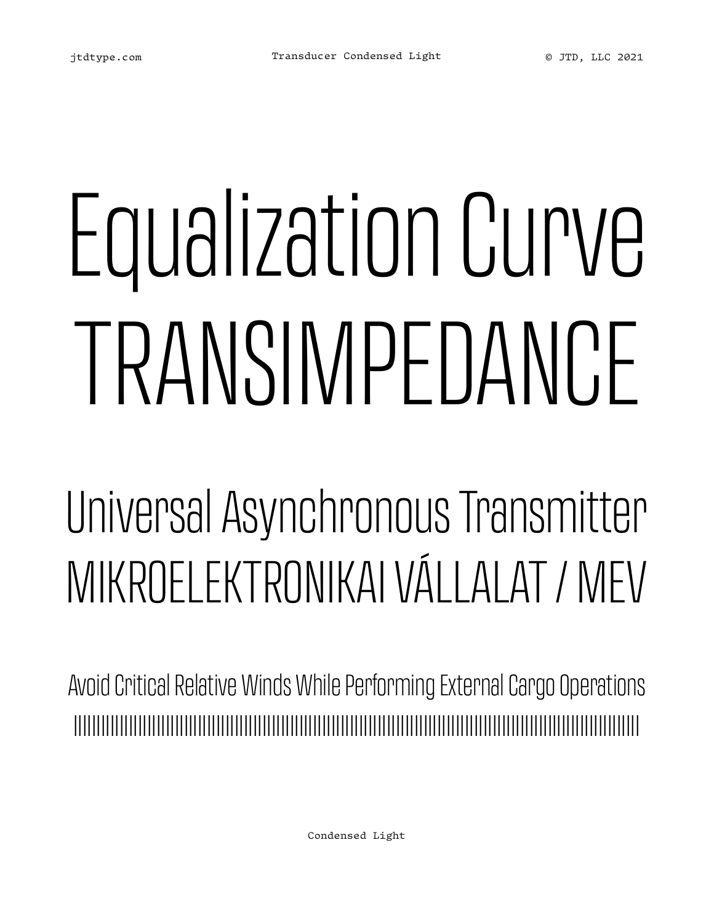# Equalization Curve TRANSIMPEDANCE

### Universal Asynchronous Transmitter MIKROELEKTRONIKAI VÁLLALAT / MEV

Avoid Critical Relative Winds While Performing External Cargo Operations IIIIIIIIIIIIIIIIIIIIIIIIIIIIIIIIIIIIIIIIIIIIIIIIIIIIIIIIIIIIIIIIIIIIIIIIIIIIIIIIIIIIIIIIIIIIIIIIIIIIIIIIIIIIIIIIIIIIIIIIIII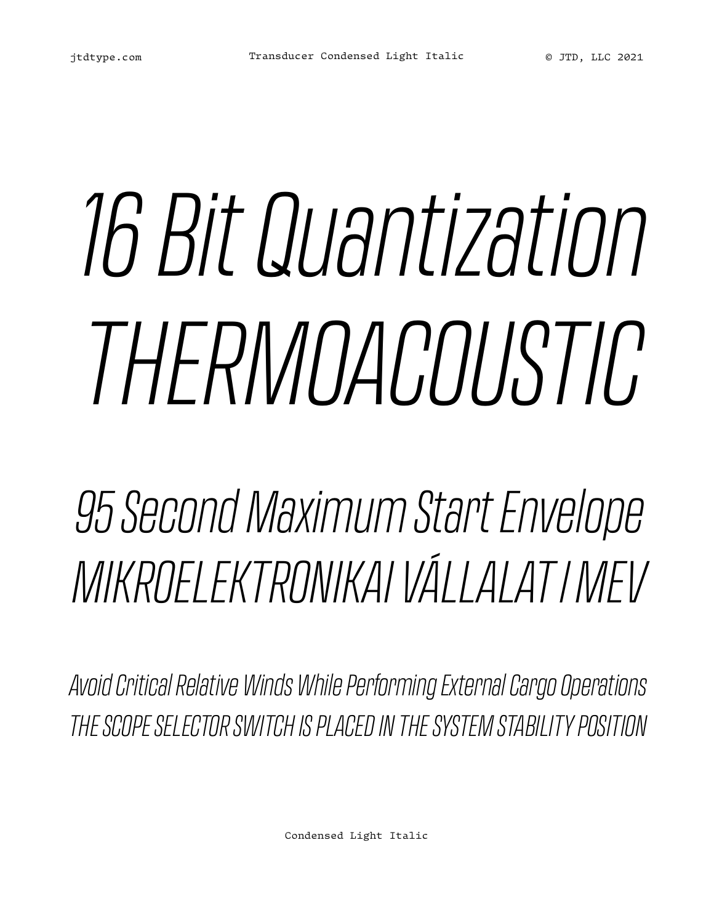# *16 Bit Quantization THERMOACOUSTIC*

*95 Second Maximum Start Envelope MIKROELEKTRONIKAI VÁLLALAT / MEV*

*Avoid Critical Relative Winds While Performing External Cargo Operations THE SCOPE SELECTOR SWITCH IS PLACED IN THE SYSTEM STABILITY POSITION*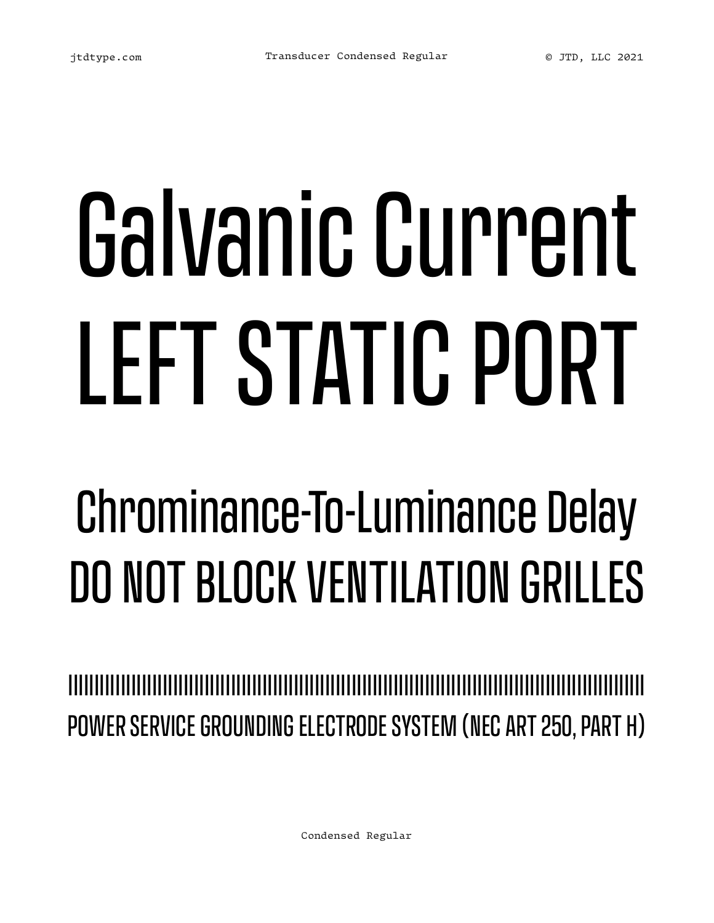# Galvanic Current LEFT STATIC PORT

### Chrominance-To-Luminance Delay DO NOT BLOCK VENTILATION GRILLES

IIIIIIIIIIIIIIIIIIIIIIIIIIIIIIIIIIIIIIIIIIIIIIIIIIIIIIIIIIIIIIIIIIIIIIIIIIIIIIIIIIIIIIIIIIIIIIIIIIIIIIIIIIIIII POWER SERVICE GROUNDING ELECTRODE SYSTEM (NEC ART 250, PART H)

Condensed Regular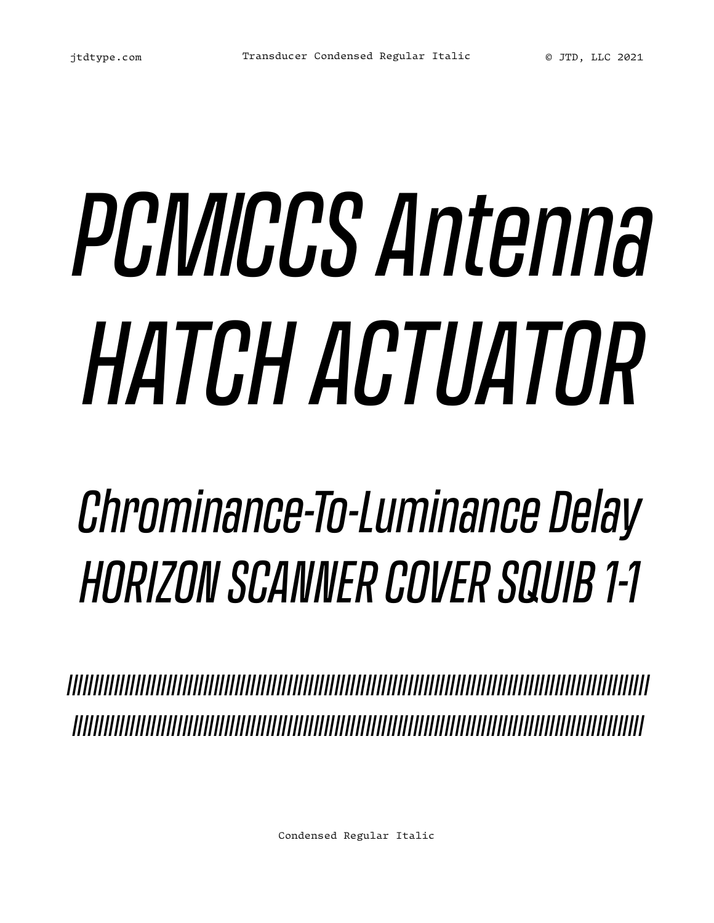# *PCM/CCS Antenna HATCH ACTUATOR*

### *Chrominance-To-Luminance Delay HORIZON SCANNER COVER SQUIB 1-1*

*IIIIIIIIIIIIIIIIIIIIIIIIIIIIIIIIIIIIIIIIIIIIIIIIIIIIIIIIIIIIIIIIIIIIIIIIIIIIIIIIIIIIIIIIIIIIIIIIIIIIIIIIIIIIIII IIIIIIIIIIIIIIIIIIIIIIIIIIIIIIIIIIIIIIIIIIIIIIIIIIIIIIIIIIIIIIIIIIIIIIIIIIIIIIIIIIIIIIIIIIIIIIIIIIIIIIIIIIIII*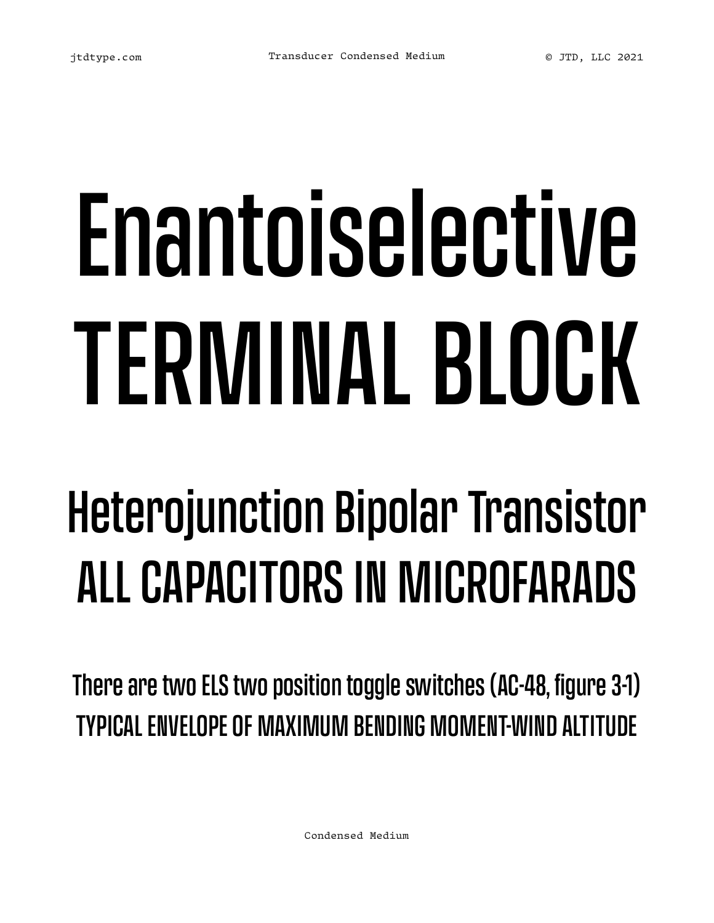# Enantoiselective TERMINAL BLOCK

### Heterojunction Bipolar Transistor ALL CAPACITORS IN MICROFARADS

There are two ELS two position toggle switches (AC-48, figure 3-1) TYPICAL ENVELOPE OF MAXIMUM BENDING MOMENT-WIND ALTITUDE

Condensed Medium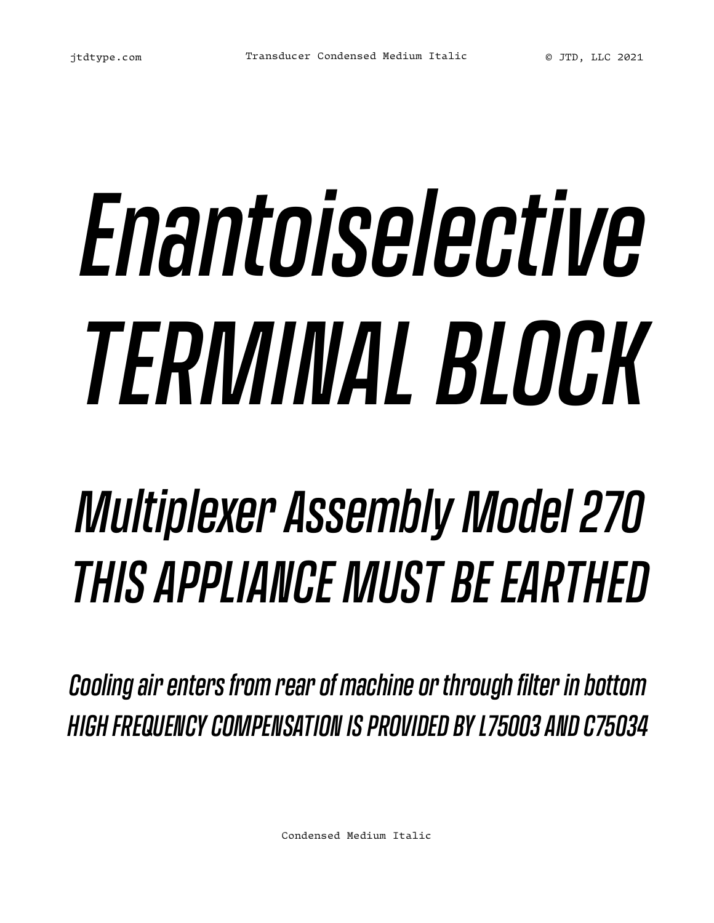# *Enantoiselective TERMINAL BLOCK*

### *Multiplexer Assembly Model 270 THIS APPLIANCE MUST BE EARTHED*

*Cooling air enters from rear of machine or through filter in bottom HIGH FREQUENCY COMPENSATION IS PROVIDED BY L75003 AND C75034*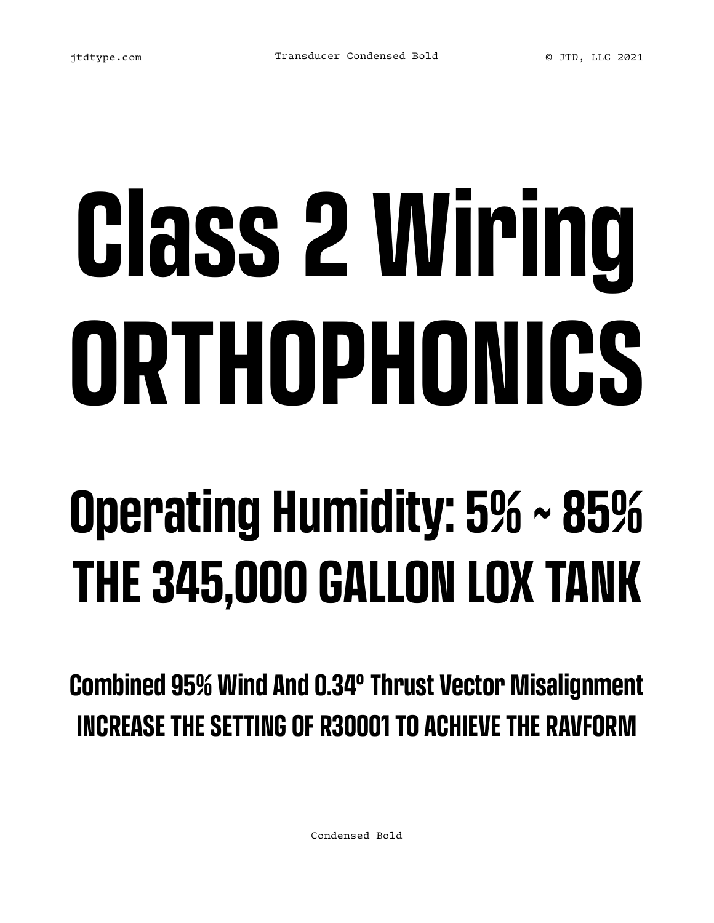# **Class 2 Wiring ORTHOPHONICS**

### **Operating Humidity: 5% ~ 85% THE 345,000 GALLON LOX TANK**

**Combined 95% Wind And 0.34° Thrust Vector Misalignment INCREASE THE SETTING OF R30001 TO ACHIEVE THE RAVFORM**

Condensed Bold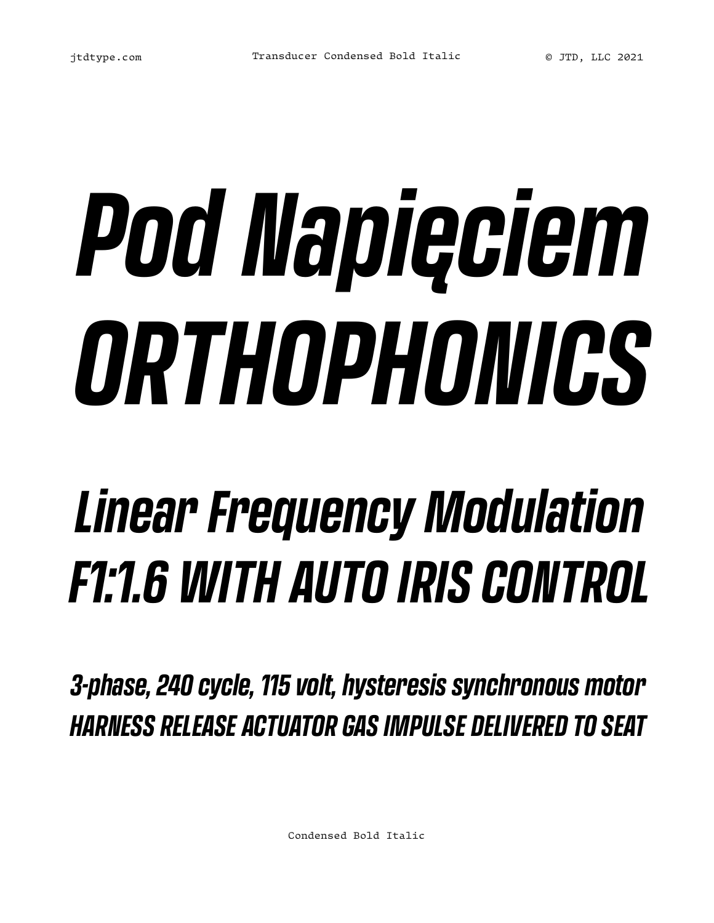# *Pod Napięciem ORTHOPHONICS*

### *Linear Frequency Modulation F1:1.6 WITH AUTO IRIS CONTROL*

*3-phase, 240 cycle, 115 volt, hysteresis synchronous motor HARNESS RELEASE ACTUATOR GAS IMPULSE DELIVERED TO SEAT*

Condensed Bold Italic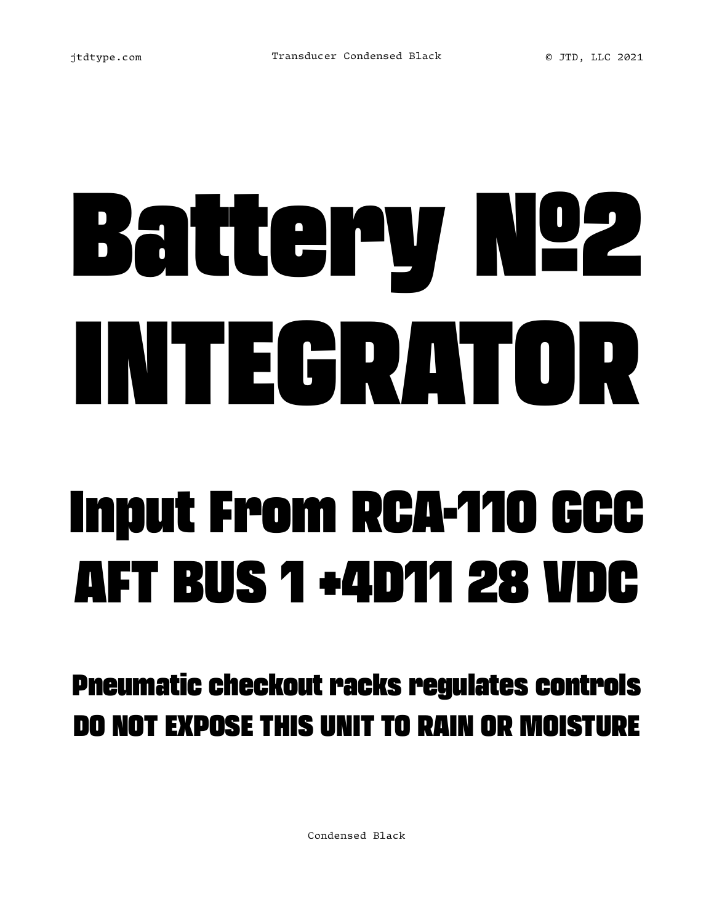## Battery №2 INTEGRATOR Input From RCA-110 GCC AFT BUS 1 +4D11 28 VDC

Pneumatic checkout racks regulates controls DO NOT EXPOSE THIS UNIT TO RAIN OR MOISTURE

Condensed Black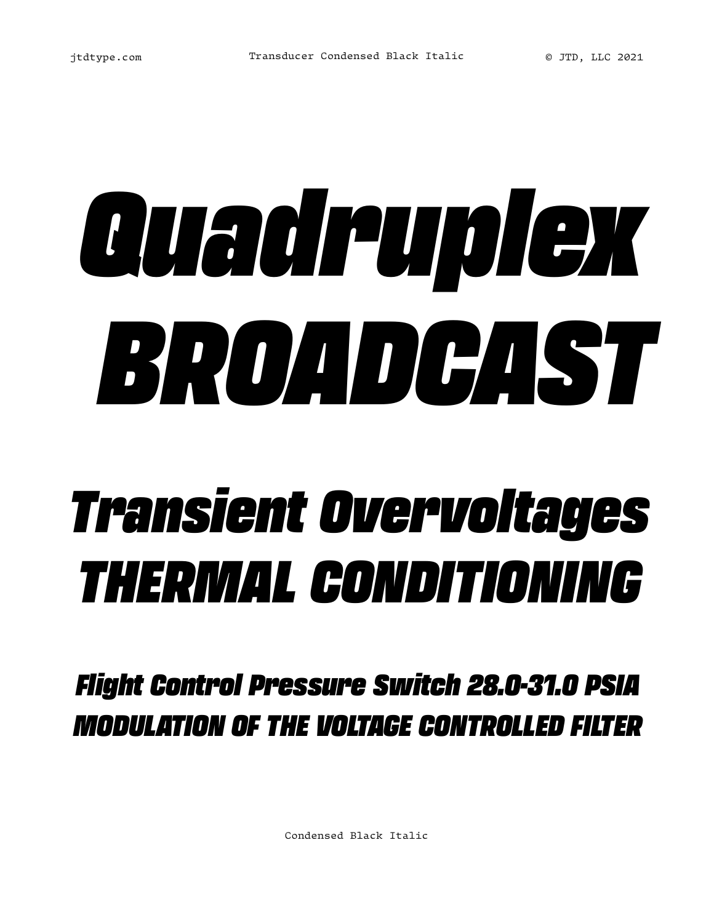# *Quadruplex BROADCAST*

### *Transient Overvoltages THERMAL CONDITIONING*

*Flight Control Pressure Switch 28.0-31.0 PSIA MODULATION OF THE VOLTAGE CONTROLLED FILTER*

Condensed Black Italic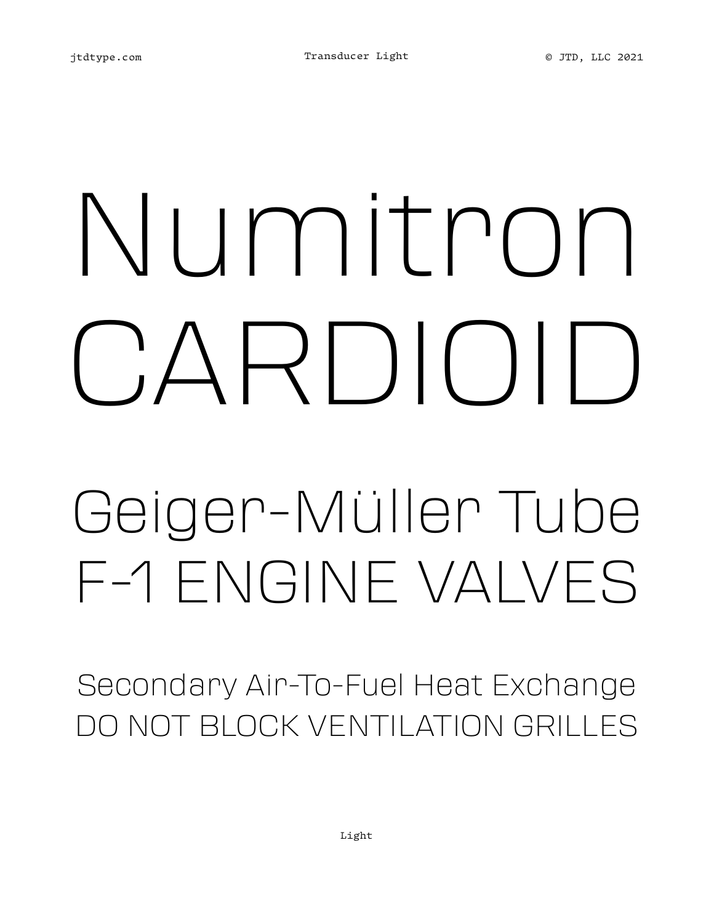## Numitron CARDIOID Geiger-Müller Tube F-1 ENGINE VALVES

Secondary Air-To-Fuel Heat Exchange DO NOT BLOCK VENTILATION GRILLES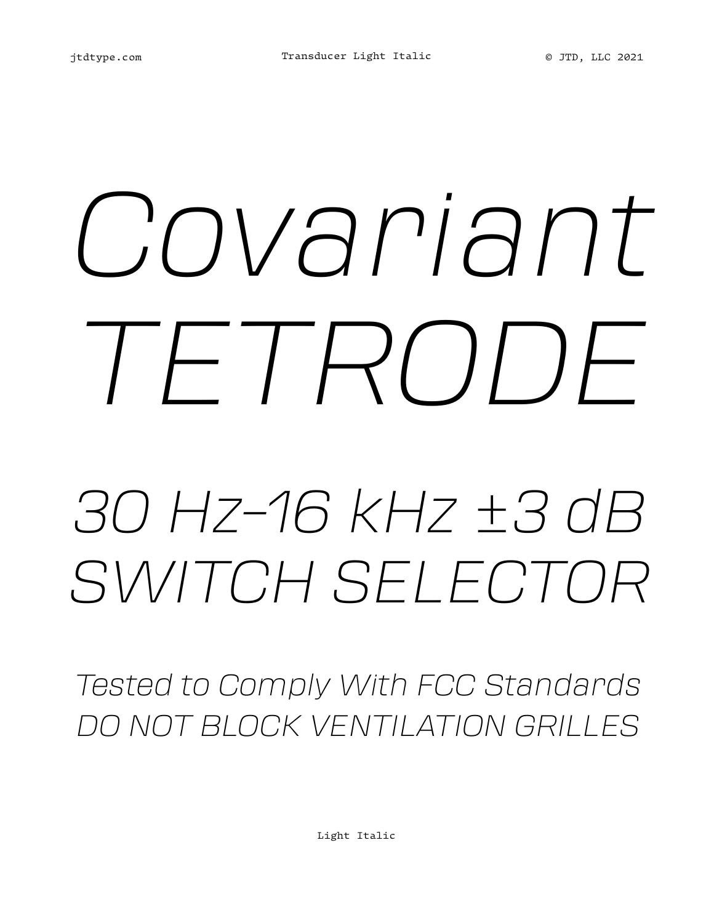# *Covariant TETRODE*

### *30 Hz–16 kHz ±3 dB SWITCH SELECTOR*

*Tested to Comply With FCC Standards DO NOT BLOCK VENTILATION GRILLES*

Light Italic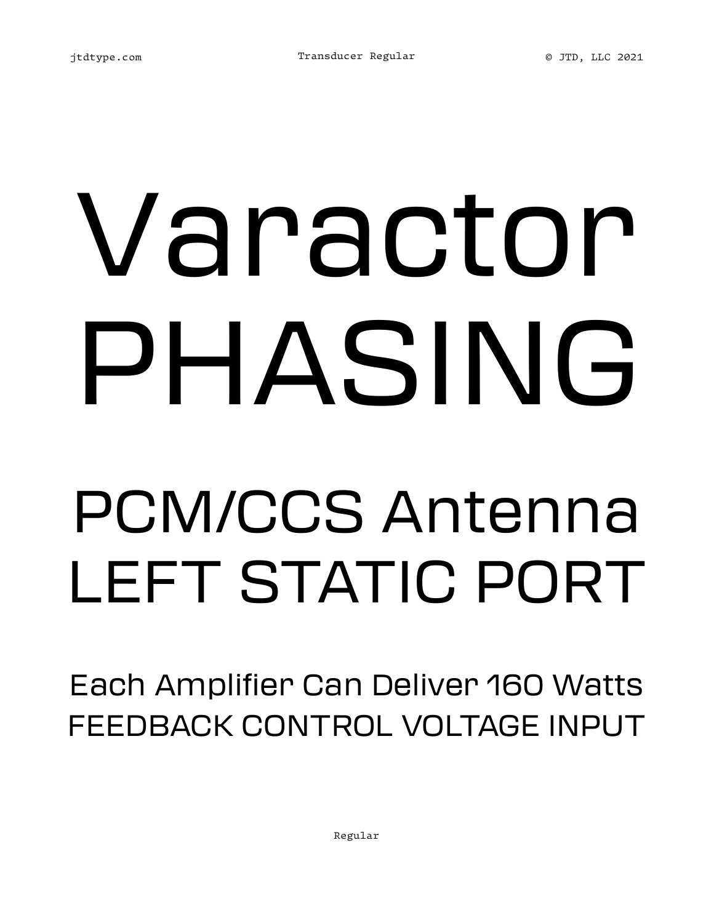## Varactor PHASING PCM/CCS Antenna LEFT STATIC PORT

Each Amplifier Can Deliver 160 Watts FEEDBACK CONTROL VOLTAGE INPUT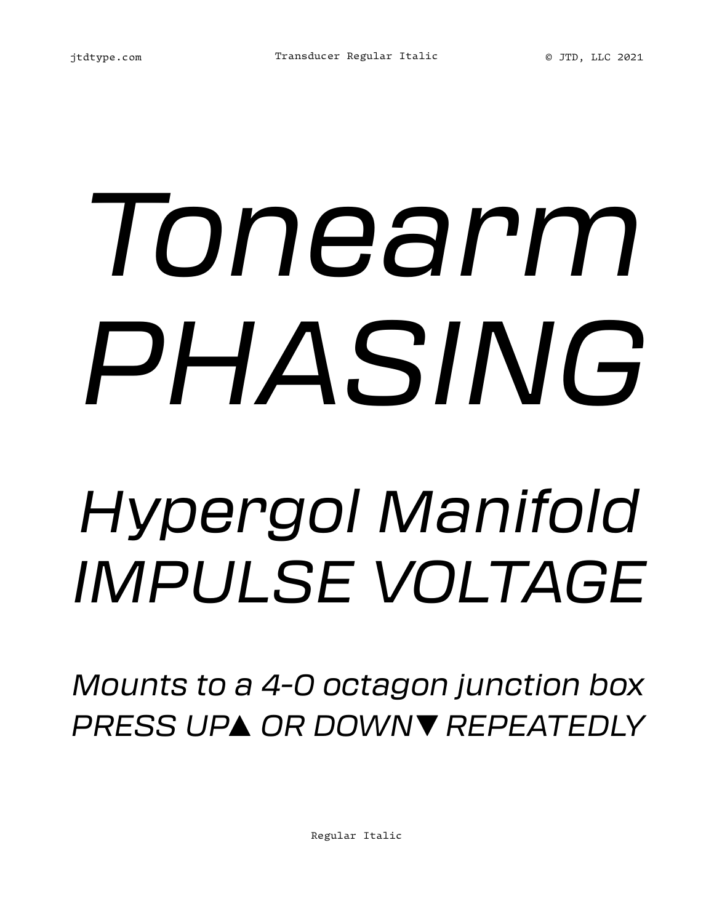## *Tonearm PHASING Hypergol Manifold IMPULSE VOLTAGE*

*Mounts to a 4-0 octagon junction box PRESS UP▲ OR DOWN▼ REPEATEDLY*

Regular Italic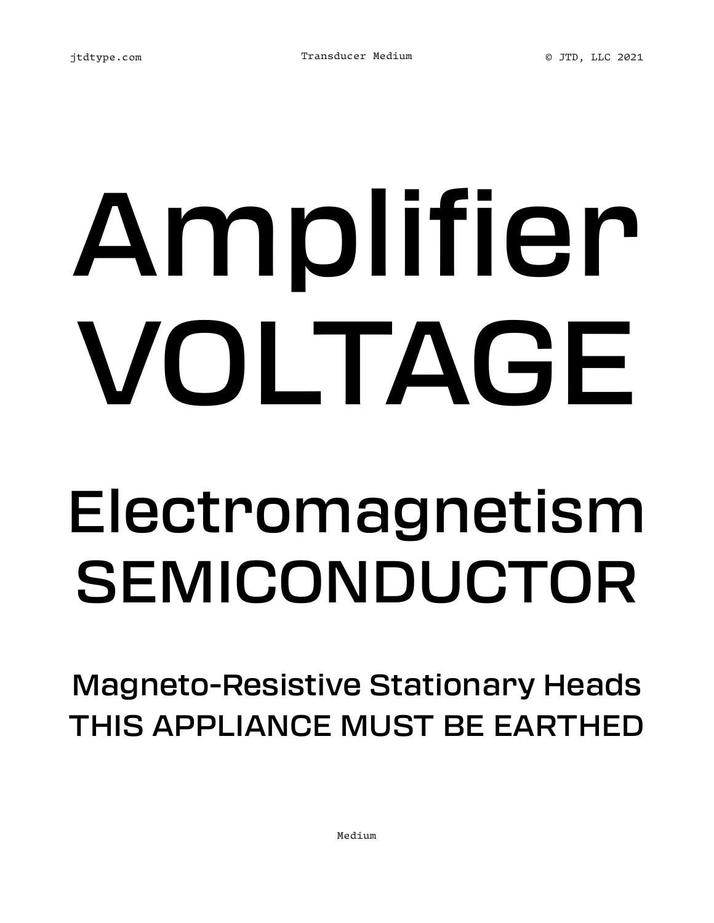## Amplifier VOLTAGE Electromagnetism

## SEMICONDUCTOR

Magneto-Resistive Stationary Heads THIS APPLIANCE MUST BE EARTHED

Medium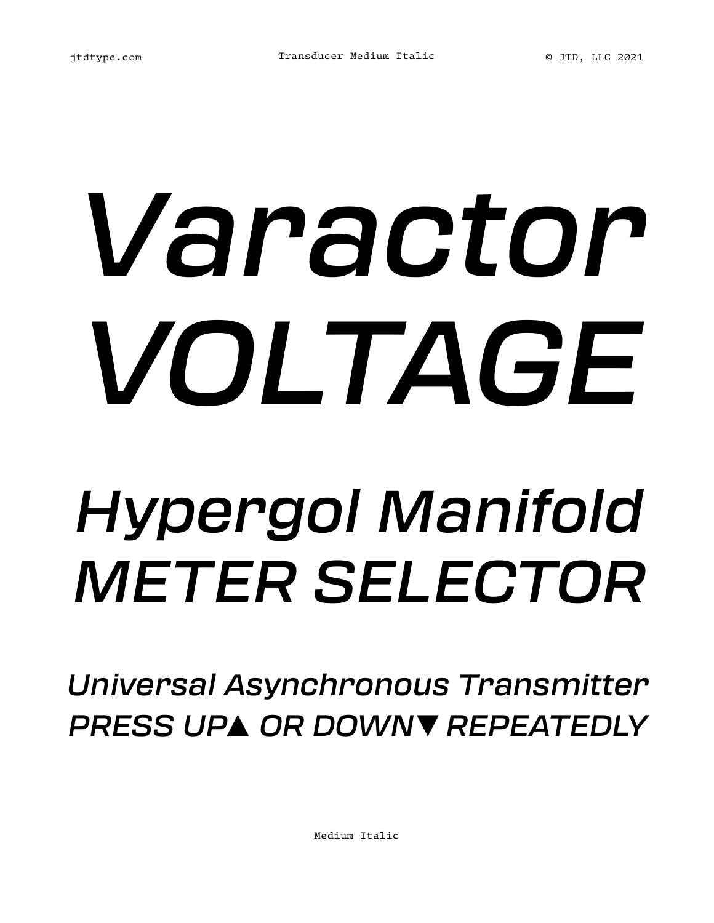## *Varactor VOLTAGE Hypergol Manifold METER SELECTOR*

*Universal Asynchronous Transmitter PRESS UP▲ OR DOWN▼ REPEATEDLY*

Medium Italic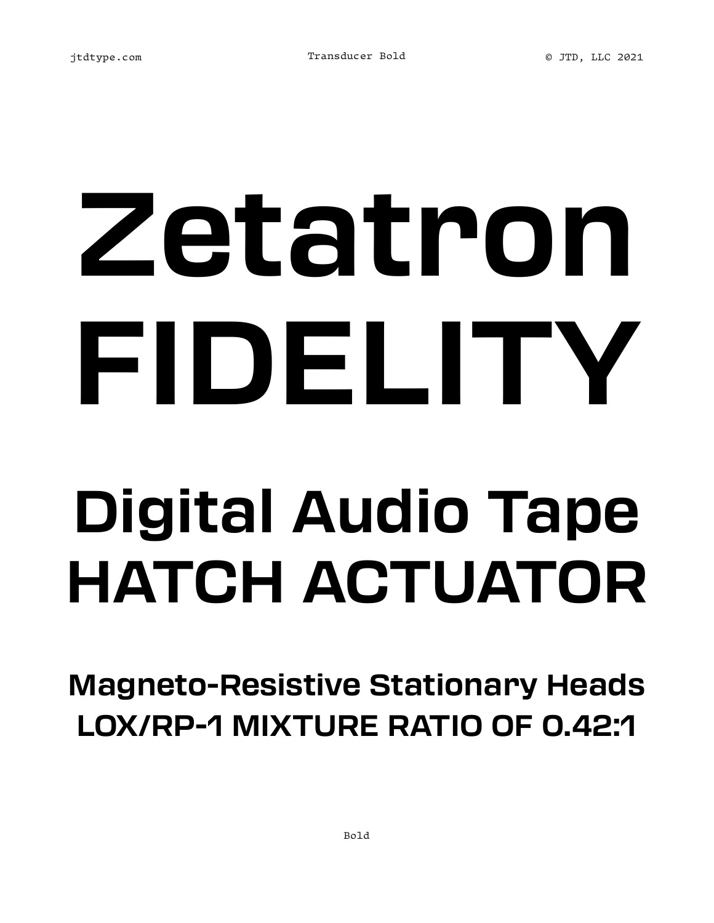## **Zetatron FIDELITY Digital Audio Tape HATCH ACTUATOR**

**Magneto-Resistive Stationary Heads LOX/RP-1 MIXTURE RATIO OF 0.42:1**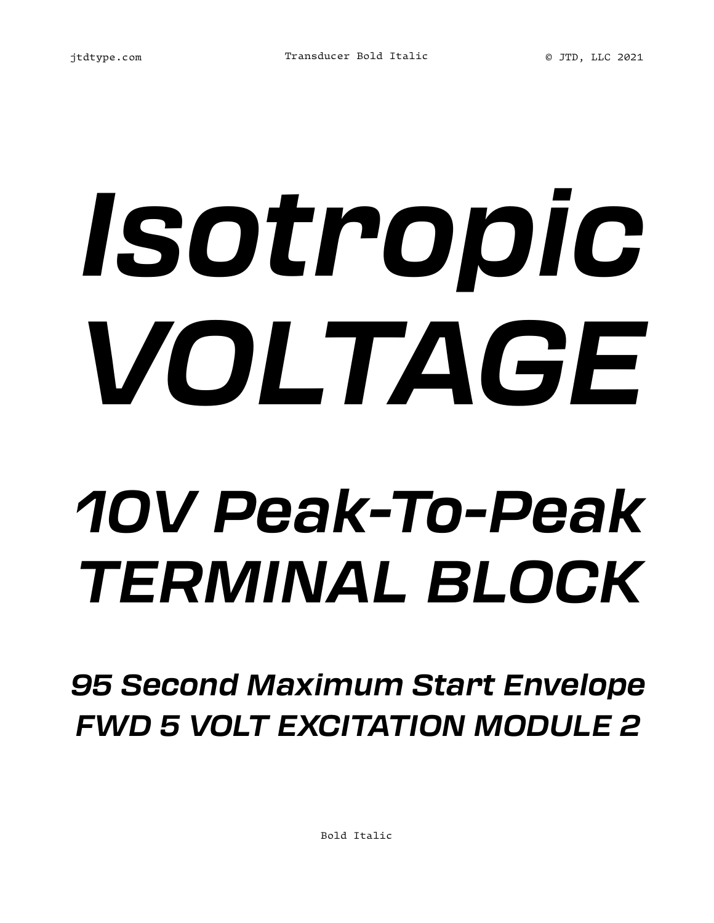## *Isotropic VOLTAGE 10V Peak-To-Peak TERMINAL BLOCK*

*95 Second Maximum Start Envelope FWD 5 VOLT EXCITATION MODULE 2*

Bold Italic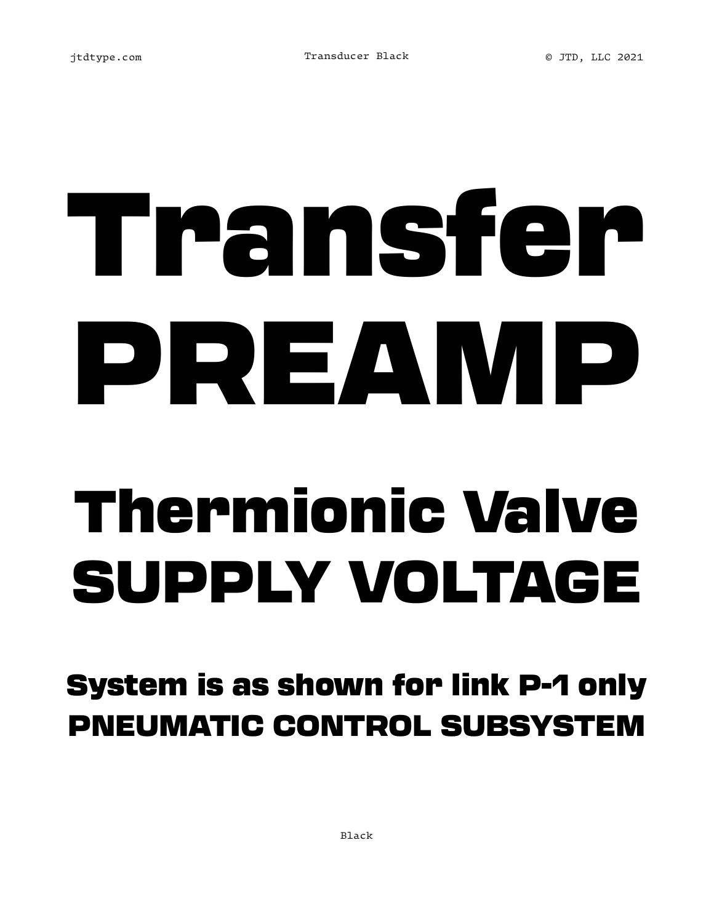## Transfer PREAMP Thermionic Valve SUPPLY VOLTAGE

System is as shown for link P-1 only PNEUMATIC CONTROL SUBSYSTEM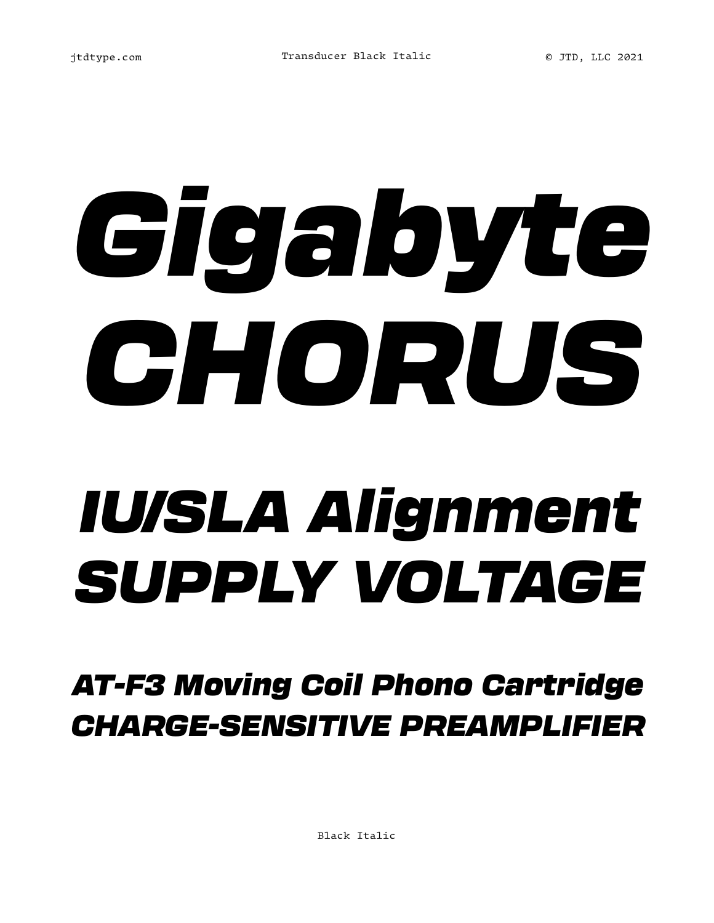## *Gigabyte CHORUS IU/SLA Alignment SUPPLY VOLTAGE*

*AT-F3 Moving Coil Phono Cartridge CHARGE-SENSITIVE PREAMPLIFIER*

Black Italic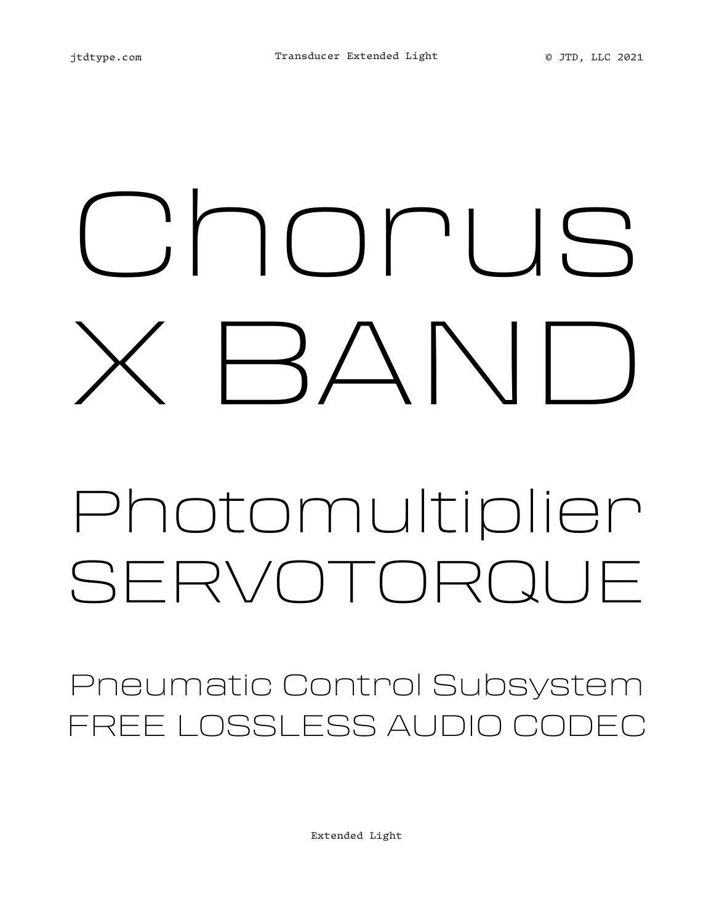## Chorus  $\Box$

### Photomultiplier SERVOTORQUE

Pneumatic Control Subsystem FREE LOSSLESS AUDIO CODEC

Extended Light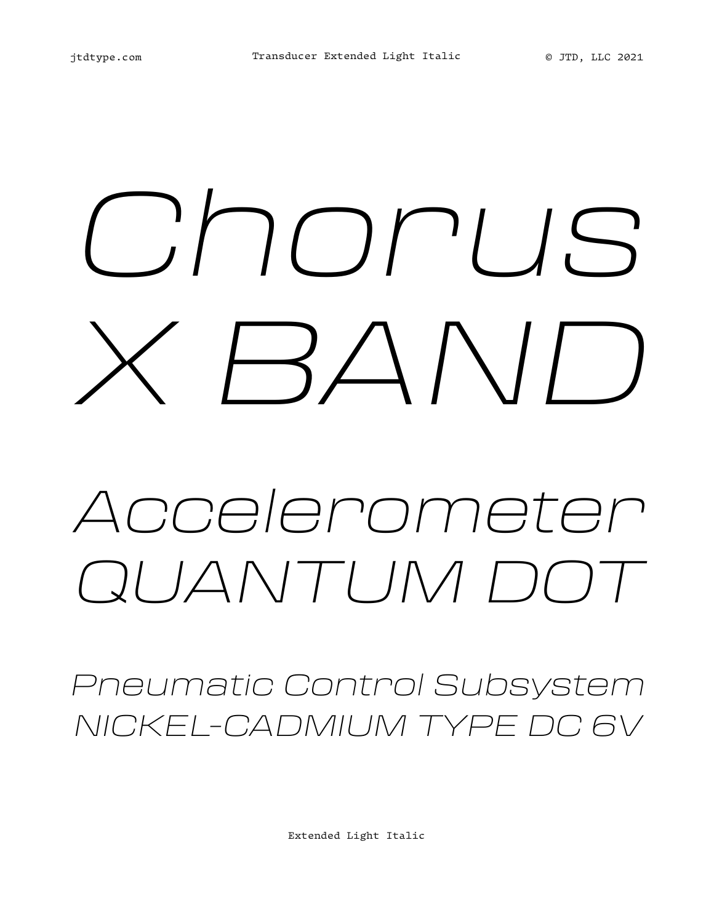## *Chorus X BAND*

### *Accelerometer QUANTUM DOT*

*Pneumatic Control Subsystem NICKEL-CADMIUM TYPE DC 6V*

Extended Light Italic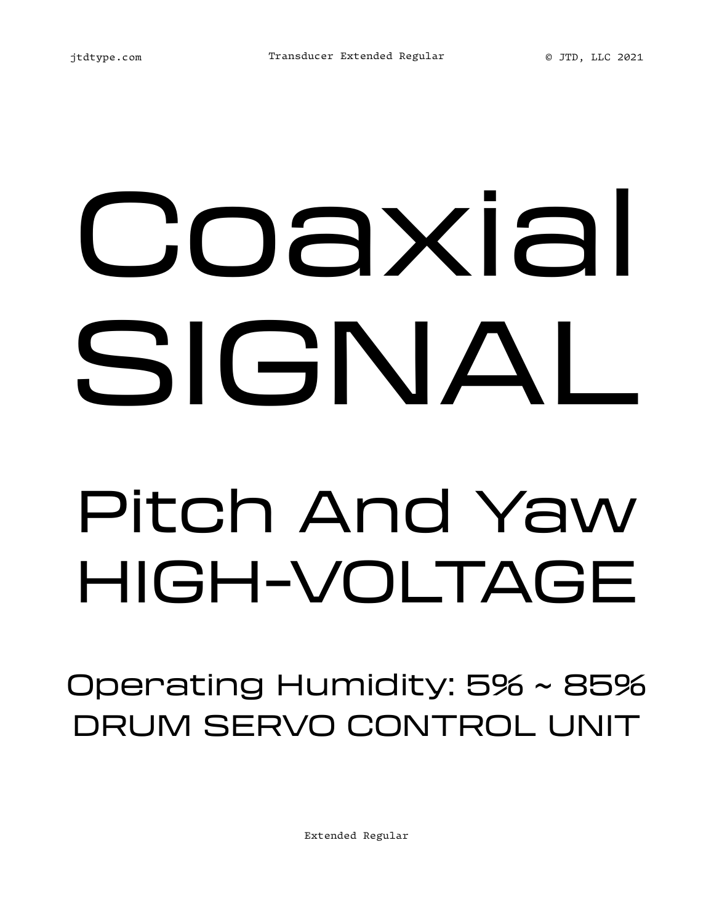## Coaxial SIGNAL Pitch And Yaw HIGH-VOLTAGE

Operating Humidity: 5% ~ 85% DRUM SERVO CONTROL UNIT

Extended Regular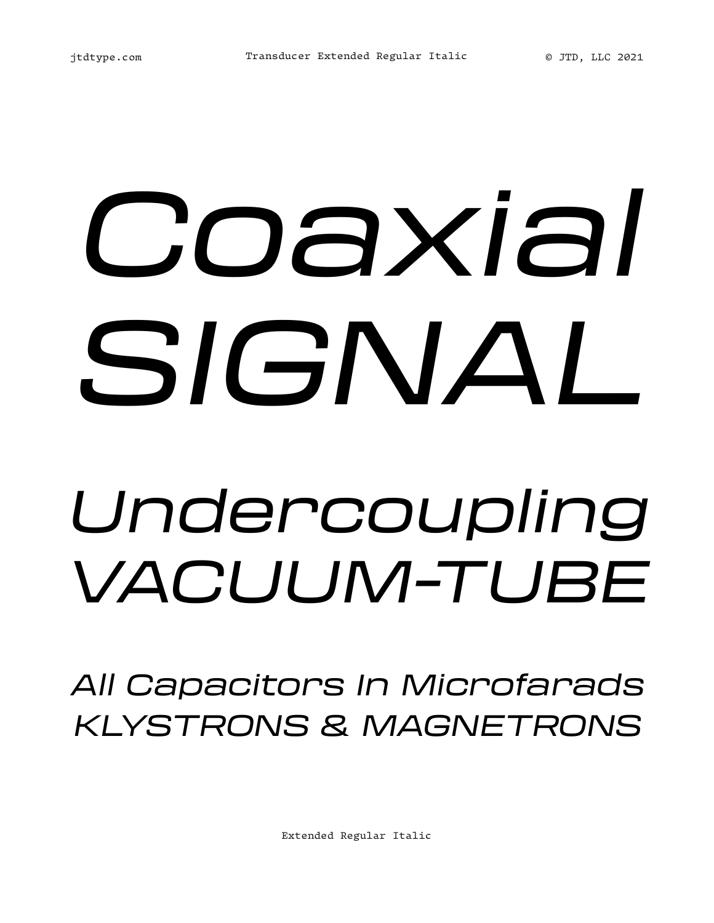## *Coaxial SIGNAL Undercoupling VACUUM-TUBE*

*All Capacitors In Microfarads KLYSTRONS & MAGNETRONS*

Extended Regular Italic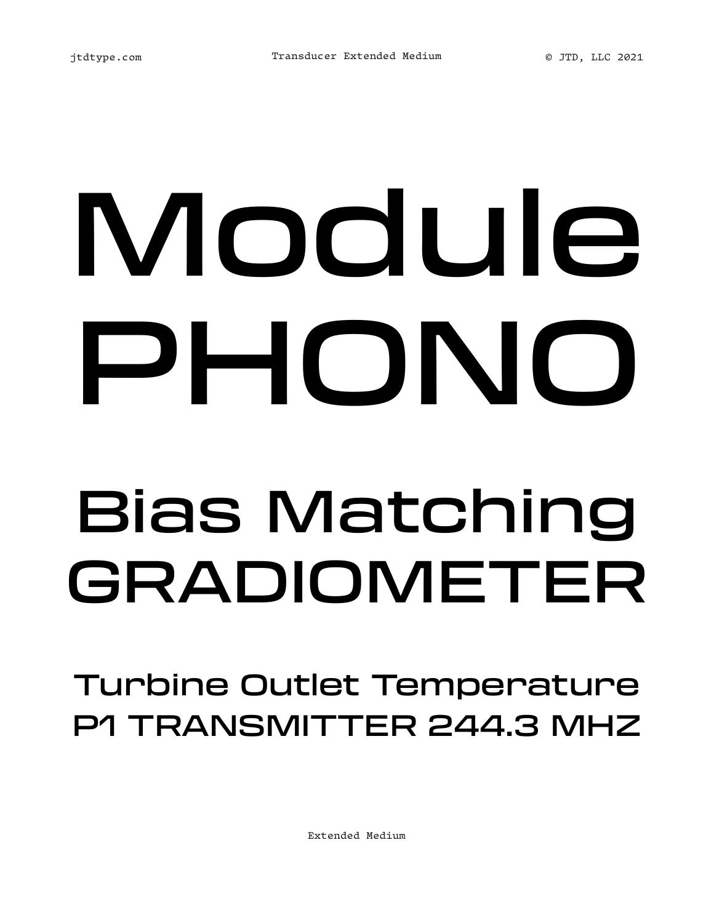## Module PHONO Bias Matching GRADIOMETER

Turbine Outlet Temperature P1 TRANSMITTER 244.3 MHZ

Extended Medium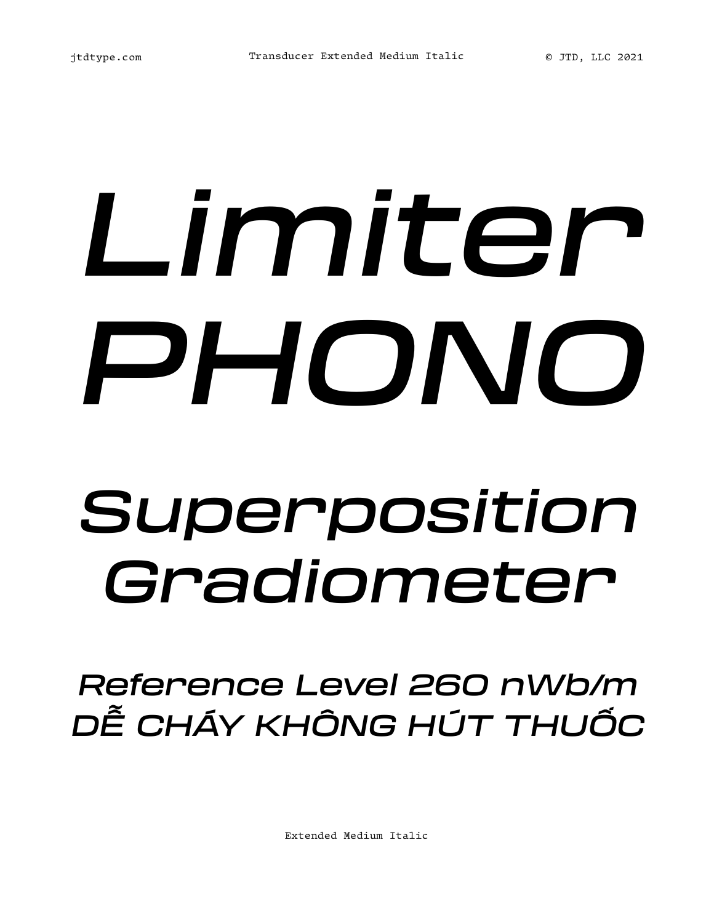## *Limiter PHONO Superposition Gradiometer*

*Reference Level 260 nWb/m DỄ CHÁY KHÔNG HÚT THUỐC*

Extended Medium Italic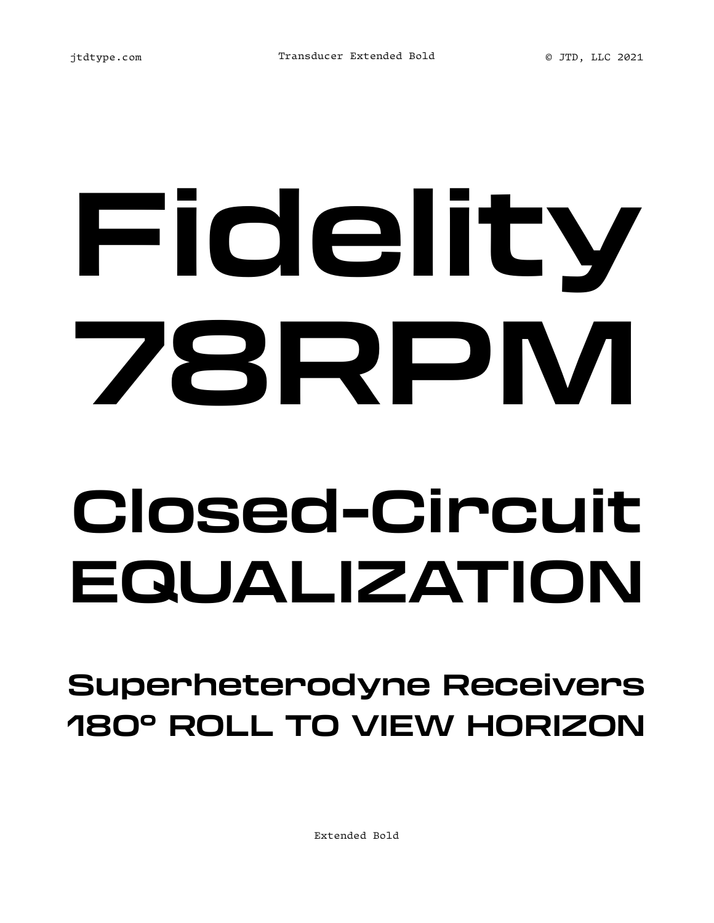## **Fidelity 78RPM Closed-Circuit EQUALIZATION**

**Superheterodyne Receivers 180° ROLL TO VIEW HORIZON**

Extended Bold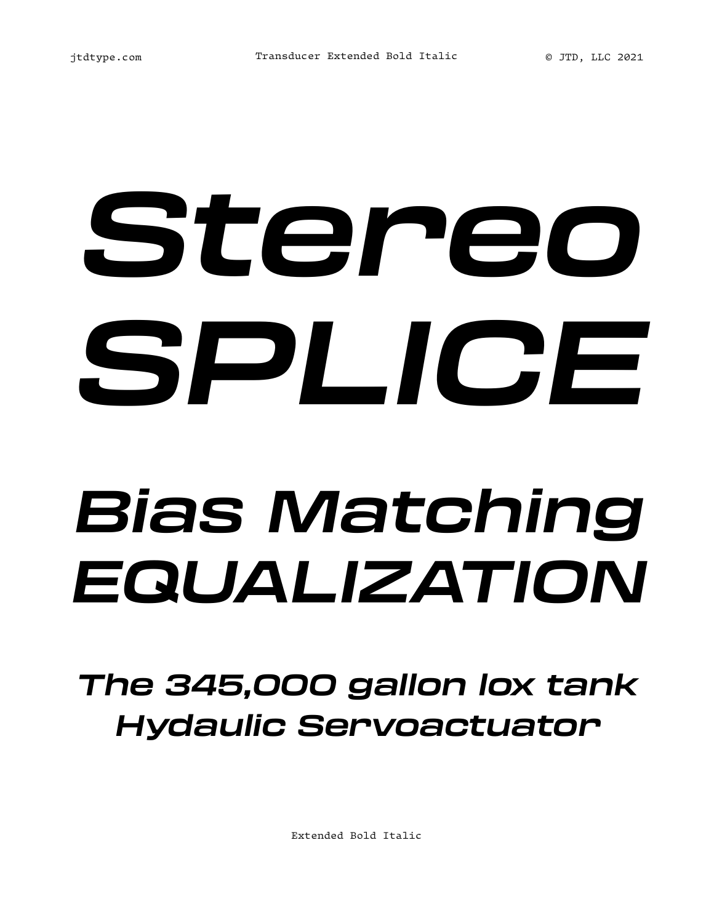# *Stereo SPLICE*

### *Bias Matching EQUALIZATION*

### *The 345,000 gallon lox tank Hydaulic Servoactuator*

Extended Bold Italic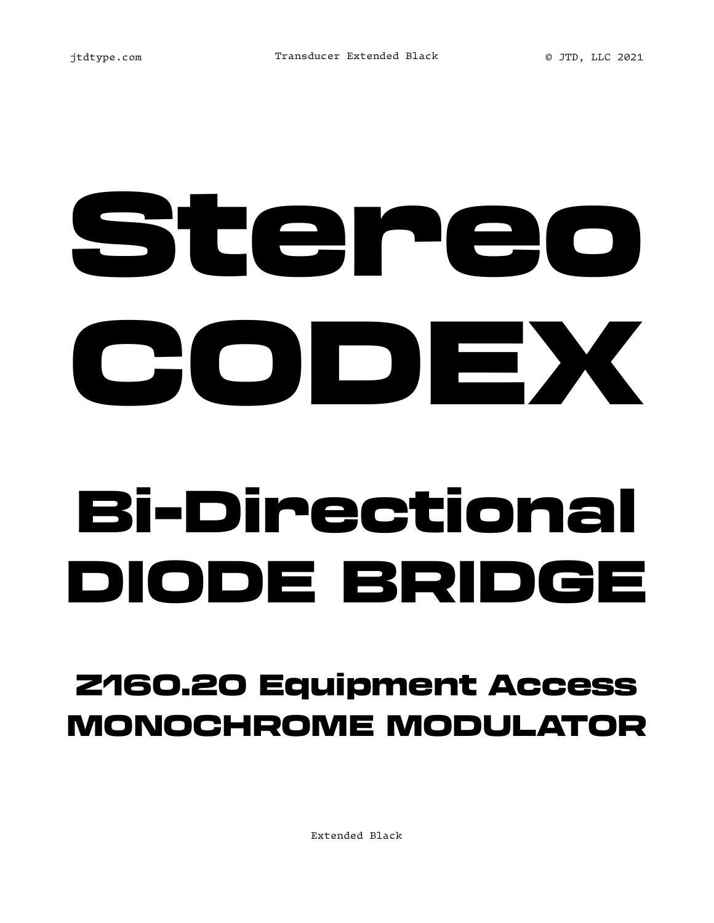# Stereo CODEX

### Bi-Directional IODE BRIDGE

### Z160.20 Equipment Access MONOCHROME MODULATOR

Extended Black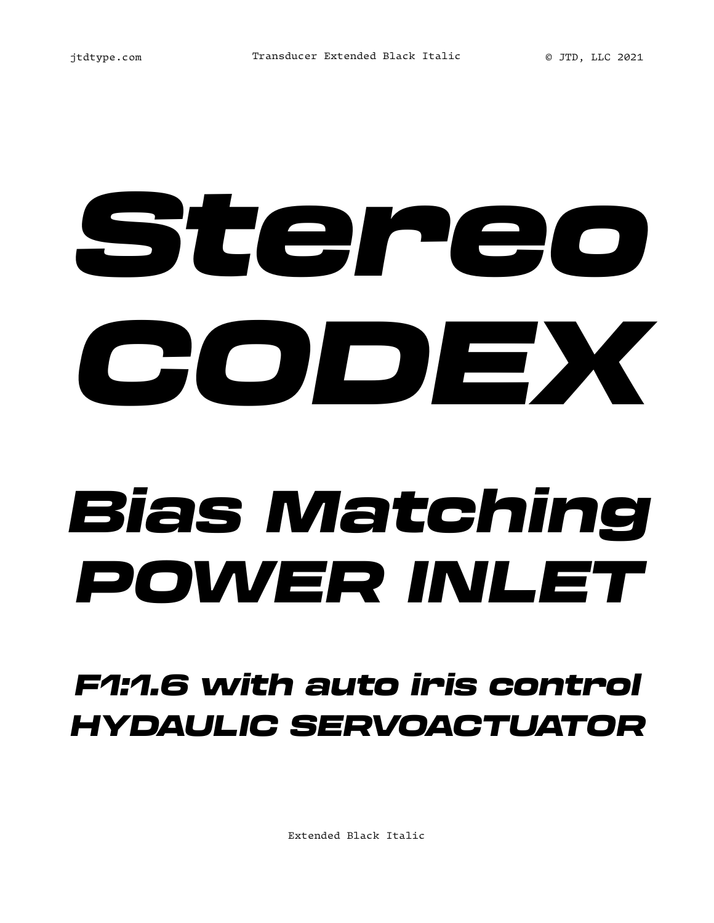## *Stereo CODEX*

### *Bias Matching POWER INLET*

#### *F1:1.6 with auto iris control HYDAULIC SERVOACTUATOR*

Extended Black Italic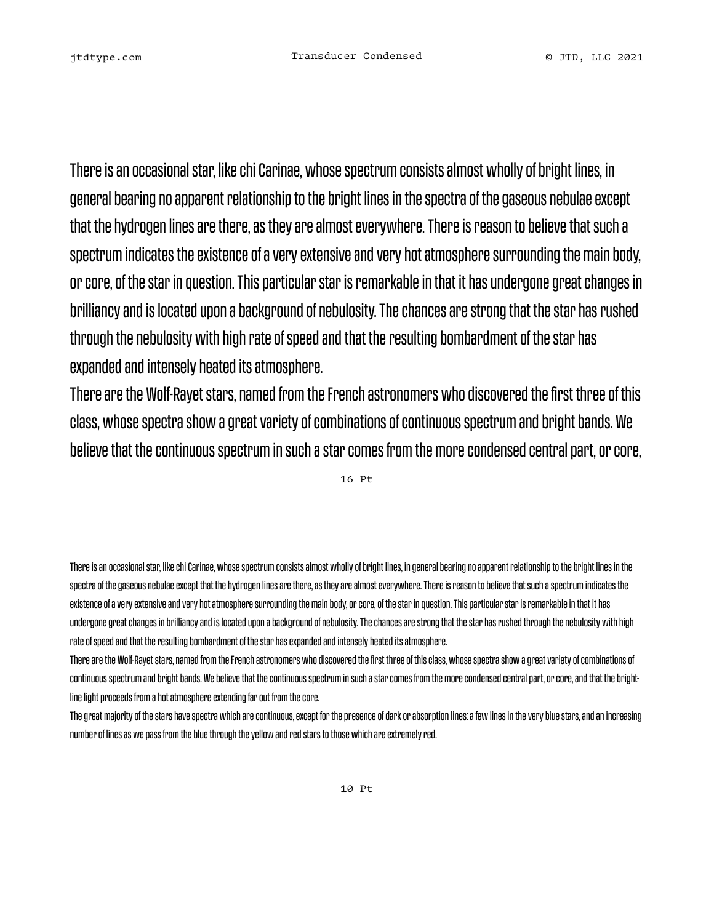There is an occasional star, like chi Carinae, whose spectrum consists almost wholly of bright lines, in general bearing no apparent relationship to the bright lines in the spectra of the gaseous nebulae except that the hydrogen lines are there, as they are almost everywhere. There is reason to believe that such a spectrum indicates the existence of a very extensive and very hot atmosphere surrounding the main body, or core, of the star in question. This particular star is remarkable in that it has undergone great changes in brilliancy and is located upon a background of nebulosity. The chances are strong that the star has rushed through the nebulosity with high rate of speed and that the resulting bombardment of the star has expanded and intensely heated its atmosphere.

There are the Wolf-Rayet stars, named from the French astronomers who discovered the first three of this class, whose spectra show a great variety of combinations of continuous spectrum and bright bands. We believe that the continuous spectrum in such a star comes from the more condensed central part, or core,

16 Pt

There is an occasional star, like chi Carinae, whose spectrum consists almost wholly of bright lines, in general bearing no apparent relationship to the bright lines in the spectra of the gaseous nebulae except that the hydrogen lines are there, as they are almost everywhere. There is reason to believe that such a spectrum indicates the existence of a very extensive and very hot atmosphere surrounding the main body, or core, of the star in question. This particular star is remarkable in that it has undergone great changes in brilliancy and is located upon a background of nebulosity. The chances are strong that the star has rushed through the nebulosity with high rate of speed and that the resulting bombardment of the star has expanded and intensely heated its atmosphere.

There are the Wolf-Rayet stars, named from the French astronomers who discovered the first three of this class, whose spectra show a great variety of combinations of continuous spectrum and bright bands. We believe that the continuous spectrum in such a star comes from the more condensed central part, or core, and that the brightline light proceeds from a hot atmosphere extending far out from the core.

The great majority of the stars have spectra which are continuous, except for the presence of dark or absorption lines: a few lines in the very blue stars, and an increasing number of lines as we pass from the blue through the yellow and red stars to those which are extremely red.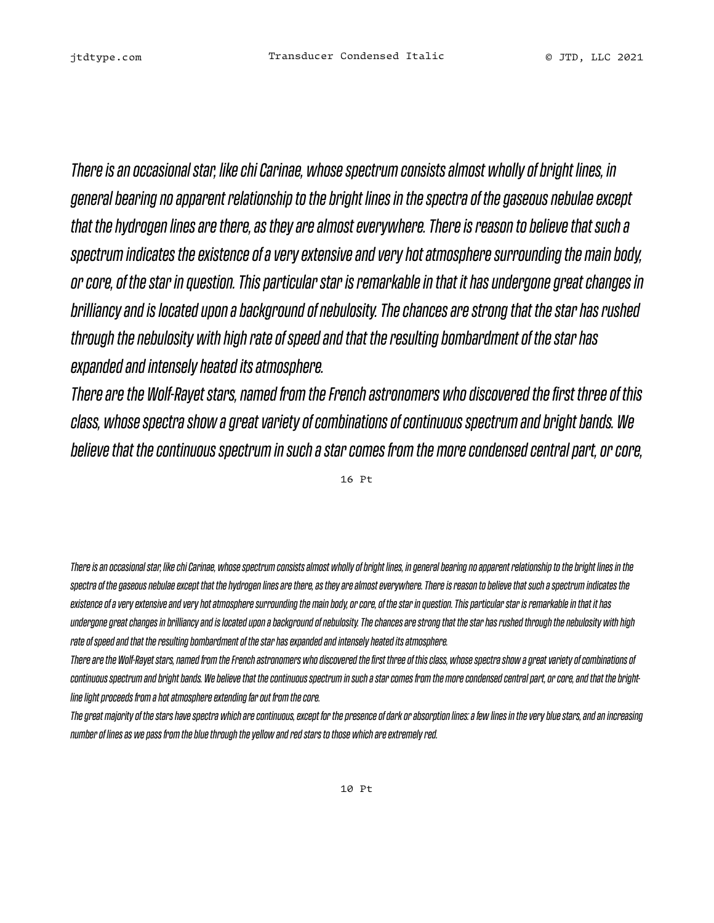*There is an occasional star, like chi Carinae, whose spectrum consists almost wholly of bright lines, in general bearing no apparent relationship to the bright lines in the spectra of the gaseous nebulae except that the hydrogen lines are there, as they are almost everywhere. There is reason to believe that such a spectrum indicates the existence of a very extensive and very hot atmosphere surrounding the main body, or core, of the star in question. This particular star is remarkable in that it has undergone great changes in brilliancy and is located upon a background of nebulosity. The chances are strong that the star has rushed through the nebulosity with high rate of speed and that the resulting bombardment of the star has expanded and intensely heated its atmosphere.* 

*There are the Wolf-Rayet stars, named from the French astronomers who discovered the first three of this class, whose spectra show a great variety of combinations of continuous spectrum and bright bands. We believe that the continuous spectrum in such a star comes from the more condensed central part, or core,* 

16 Pt

*There is an occasional star, like chi Carinae, whose spectrum consists almost wholly of bright lines, in general bearing no apparent relationship to the bright lines in the spectra of the gaseous nebulae except that the hydrogen lines are there, as they are almost everywhere. There is reason to believe that such a spectrum indicates the existence of a very extensive and very hot atmosphere surrounding the main body, or core, of the star in question. This particular star is remarkable in that it has undergone great changes in brilliancy and is located upon a background of nebulosity. The chances are strong that the star has rushed through the nebulosity with high rate of speed and that the resulting bombardment of the star has expanded and intensely heated its atmosphere.* 

*There are the Wolf-Rayet stars, named from the French astronomers who discovered the first three of this class, whose spectra show a great variety of combinations of continuous spectrum and bright bands. We believe that the continuous spectrum in such a star comes from the more condensed central part, or core, and that the brightline light proceeds from a hot atmosphere extending far out from the core.* 

*The great majority of the stars have spectra which are continuous, except for the presence of dark or absorption lines: a few lines in the very blue stars, and an increasing number of lines as we pass from the blue through the yellow and red stars to those which are extremely red.*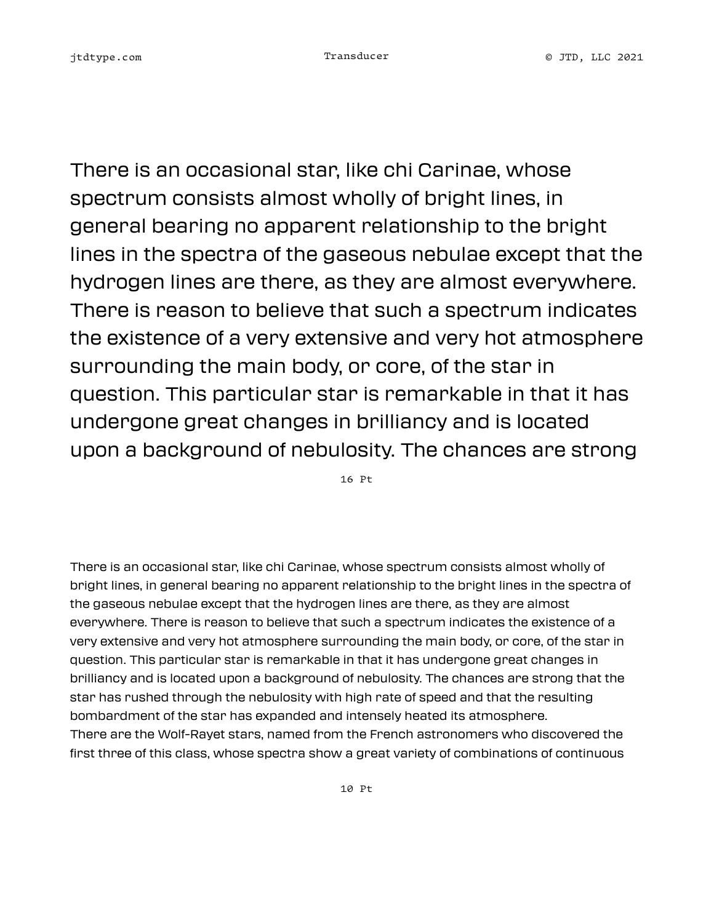There is an occasional star, like chi Carinae, whose spectrum consists almost wholly of bright lines, in general bearing no apparent relationship to the bright lines in the spectra of the gaseous nebulae except that the hydrogen lines are there, as they are almost everywhere. There is reason to believe that such a spectrum indicates the existence of a very extensive and very hot atmosphere surrounding the main body, or core, of the star in question. This particular star is remarkable in that it has undergone great changes in brilliancy and is located upon a background of nebulosity. The chances are strong

16 Pt

There is an occasional star, like chi Carinae, whose spectrum consists almost wholly of bright lines, in general bearing no apparent relationship to the bright lines in the spectra of the gaseous nebulae except that the hydrogen lines are there, as they are almost everywhere. There is reason to believe that such a spectrum indicates the existence of a very extensive and very hot atmosphere surrounding the main body, or core, of the star in question. This particular star is remarkable in that it has undergone great changes in brilliancy and is located upon a background of nebulosity. The chances are strong that the star has rushed through the nebulosity with high rate of speed and that the resulting bombardment of the star has expanded and intensely heated its atmosphere. There are the Wolf-Rayet stars, named from the French astronomers who discovered the first three of this class, whose spectra show a great variety of combinations of continuous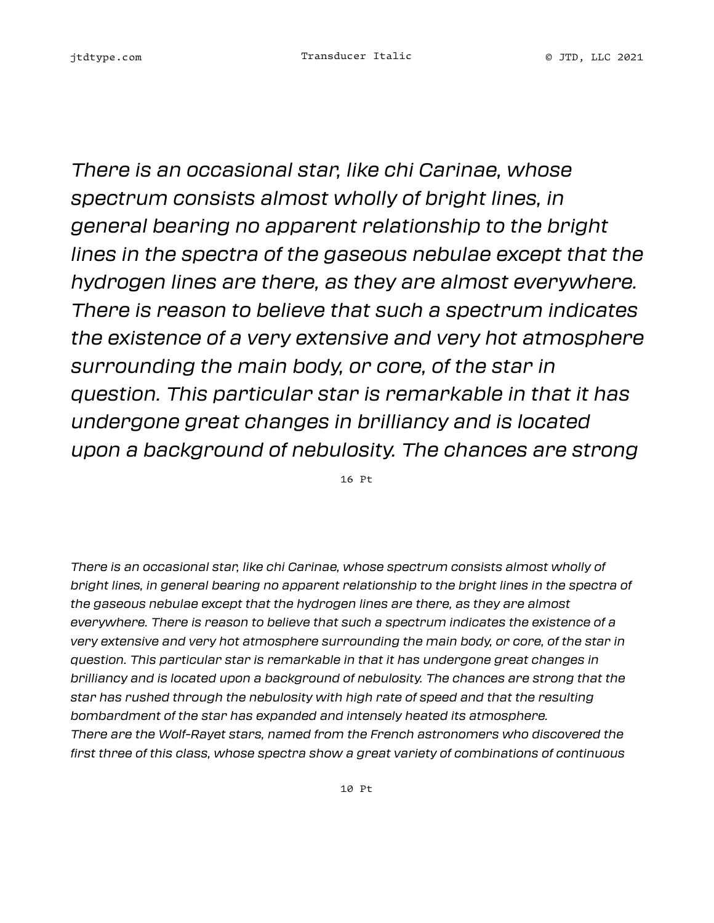*There is an occasional star, like chi Carinae, whose spectrum consists almost wholly of bright lines, in general bearing no apparent relationship to the bright lines in the spectra of the gaseous nebulae except that the hydrogen lines are there, as they are almost everywhere. There is reason to believe that such a spectrum indicates the existence of a very extensive and very hot atmosphere surrounding the main body, or core, of the star in question. This particular star is remarkable in that it has undergone great changes in brilliancy and is located upon a background of nebulosity. The chances are strong* 

16 Pt

*There is an occasional star, like chi Carinae, whose spectrum consists almost wholly of bright lines, in general bearing no apparent relationship to the bright lines in the spectra of the gaseous nebulae except that the hydrogen lines are there, as they are almost everywhere. There is reason to believe that such a spectrum indicates the existence of a very extensive and very hot atmosphere surrounding the main body, or core, of the star in question. This particular star is remarkable in that it has undergone great changes in brilliancy and is located upon a background of nebulosity. The chances are strong that the star has rushed through the nebulosity with high rate of speed and that the resulting bombardment of the star has expanded and intensely heated its atmosphere. There are the Wolf-Rayet stars, named from the French astronomers who discovered the first three of this class, whose spectra show a great variety of combinations of continuous*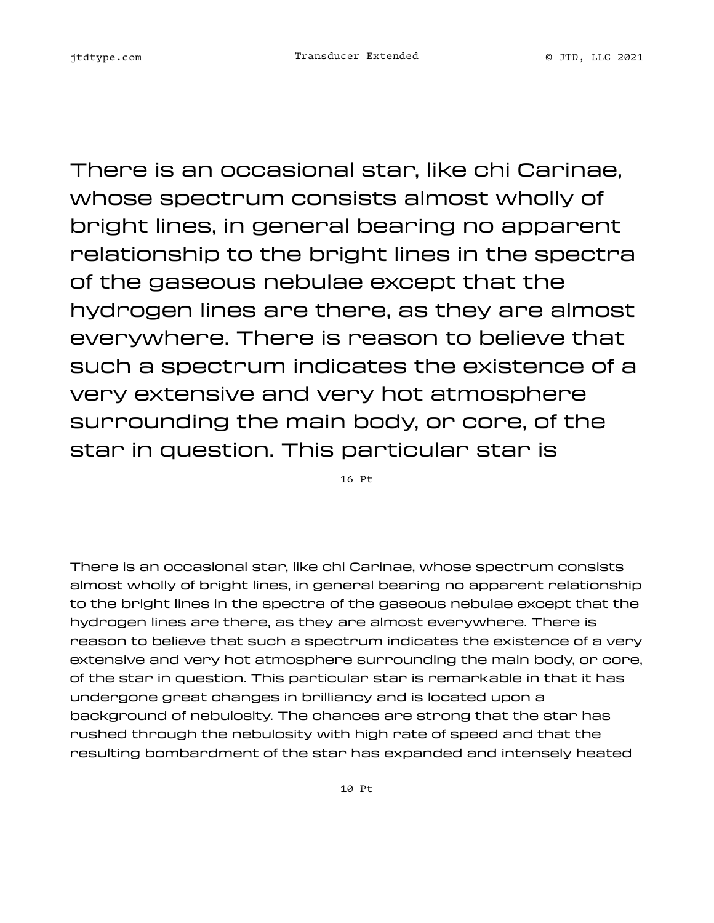There is an occasional star, like chi Carinae, whose spectrum consists almost wholly of bright lines, in general bearing no apparent relationship to the bright lines in the spectra of the gaseous nebulae except that the hydrogen lines are there, as they are almost everywhere. There is reason to believe that such a spectrum indicates the existence of a very extensive and very hot atmosphere surrounding the main body, or core, of the star in question. This particular star is

16 Pt

There is an occasional star, like chi Carinae, whose spectrum consists almost wholly of bright lines, in general bearing no apparent relationship to the bright lines in the spectra of the gaseous nebulae except that the hydrogen lines are there, as they are almost everywhere. There is reason to believe that such a spectrum indicates the existence of a very extensive and very hot atmosphere surrounding the main body, or core, of the star in question. This particular star is remarkable in that it has undergone great changes in brilliancy and is located upon a background of nebulosity. The chances are strong that the star has rushed through the nebulosity with high rate of speed and that the resulting bombardment of the star has expanded and intensely heated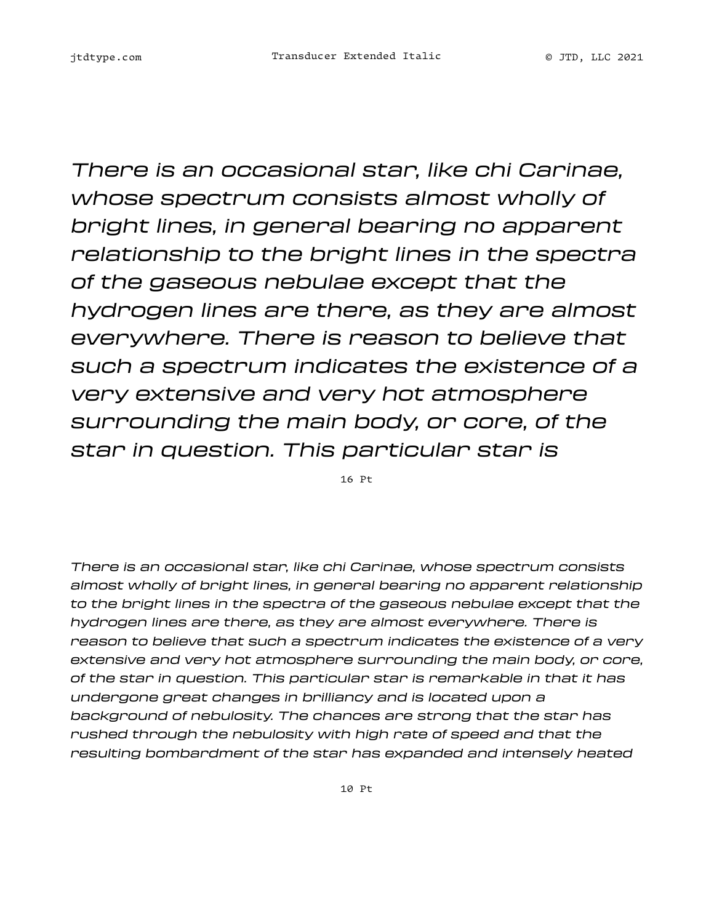*There is an occasional star, like chi Carinae, whose spectrum consists almost wholly of bright lines, in general bearing no apparent relationship to the bright lines in the spectra of the gaseous nebulae except that the hydrogen lines are there, as they are almost everywhere. There is reason to believe that such a spectrum indicates the existence of a very extensive and very hot atmosphere surrounding the main body, or core, of the star in question. This particular star is* 

16 Pt

*There is an occasional star, like chi Carinae, whose spectrum consists almost wholly of bright lines, in general bearing no apparent relationship to the bright lines in the spectra of the gaseous nebulae except that the hydrogen lines are there, as they are almost everywhere. There is reason to believe that such a spectrum indicates the existence of a very extensive and very hot atmosphere surrounding the main body, or core, of the star in question. This particular star is remarkable in that it has undergone great changes in brilliancy and is located upon a background of nebulosity. The chances are strong that the star has rushed through the nebulosity with high rate of speed and that the resulting bombardment of the star has expanded and intensely heated*